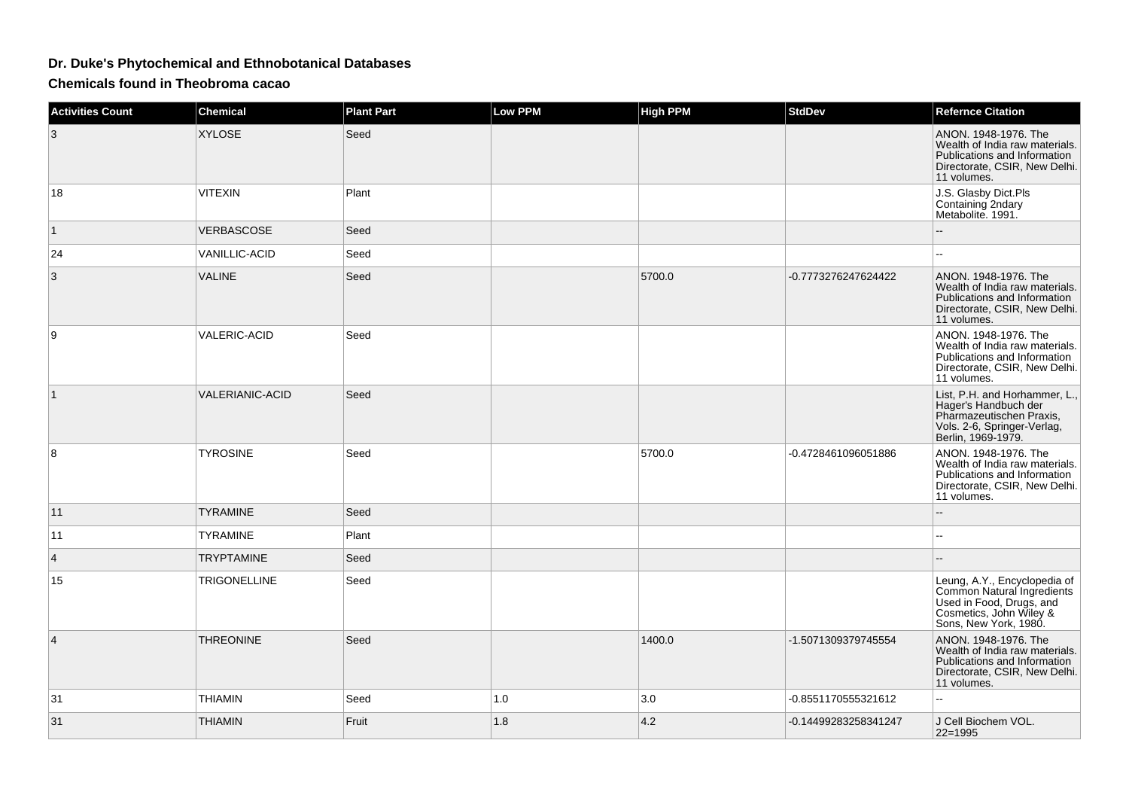## **Dr. Duke's Phytochemical and Ethnobotanical Databases**

**Chemicals found in Theobroma cacao**

| <b>Activities Count</b> | <b>Chemical</b>        | <b>Plant Part</b> | <b>Low PPM</b> | <b>High PPM</b> | StdDev               | <b>Refernce Citation</b>                                                                                                                   |
|-------------------------|------------------------|-------------------|----------------|-----------------|----------------------|--------------------------------------------------------------------------------------------------------------------------------------------|
| 3                       | <b>XYLOSE</b>          | Seed              |                |                 |                      | ANON. 1948-1976. The<br>Wealth of India raw materials.<br>Publications and Information<br>Directorate, CSIR, New Delhi.<br>11 volumes.     |
| 18                      | <b>VITEXIN</b>         | Plant             |                |                 |                      | J.S. Glasby Dict.Pls<br>Containing 2ndary<br>Metabolite. 1991.                                                                             |
| $\mathbf{1}$            | VERBASCOSE             | Seed              |                |                 |                      |                                                                                                                                            |
| 24                      | <b>VANILLIC-ACID</b>   | Seed              |                |                 |                      |                                                                                                                                            |
| 3                       | <b>VALINE</b>          | Seed              |                | 5700.0          | -0.7773276247624422  | ANON, 1948-1976. The<br>Wealth of India raw materials.<br>Publications and Information<br>Directorate, CSIR, New Delhi.<br>11 volumes.     |
| 9                       | <b>VALERIC-ACID</b>    | Seed              |                |                 |                      | ANON. 1948-1976. The<br>Wealth of India raw materials.<br>Publications and Information<br>Directorate, CSIR, New Delhi.<br>11 volumes.     |
| $\mathbf{1}$            | <b>VALERIANIC-ACID</b> | Seed              |                |                 |                      | List, P.H. and Horhammer, L.,<br>Hager's Handbuch der<br>Pharmazeutischen Praxis,<br>Vols. 2-6, Springer-Verlag,<br>Berlin, 1969-1979.     |
| 8                       | <b>TYROSINE</b>        | Seed              |                | 5700.0          | -0.4728461096051886  | ANON. 1948-1976. The<br>Wealth of India raw materials.<br>Publications and Information<br>Directorate, CSIR, New Delhi.<br>11 volumes.     |
| 11                      | <b>TYRAMINE</b>        | Seed              |                |                 |                      | --                                                                                                                                         |
| 11                      | <b>TYRAMINE</b>        | Plant             |                |                 |                      |                                                                                                                                            |
| 4                       | <b>TRYPTAMINE</b>      | Seed              |                |                 |                      |                                                                                                                                            |
| 15                      | <b>TRIGONELLINE</b>    | Seed              |                |                 |                      | Leung, A.Y., Encyclopedia of<br>Common Natural Ingredients<br>Used in Food, Drugs, and<br>Cosmetics, John Wiley &<br>Sons, New York, 1980. |
| 4                       | <b>THREONINE</b>       | Seed              |                | 1400.0          | -1.5071309379745554  | ANON. 1948-1976. The<br>Wealth of India raw materials.<br>Publications and Information<br>Directorate, CSIR, New Delhi.<br>11 volumes.     |
| 31                      | <b>THIAMIN</b>         | Seed              | 1.0            | 3.0             | -0.8551170555321612  | $\overline{a}$                                                                                                                             |
| 31                      | <b>THIAMIN</b>         | Fruit             | 1.8            | 4.2             | -0.14499283258341247 | J Cell Biochem VOL.<br>$22 = 1995$                                                                                                         |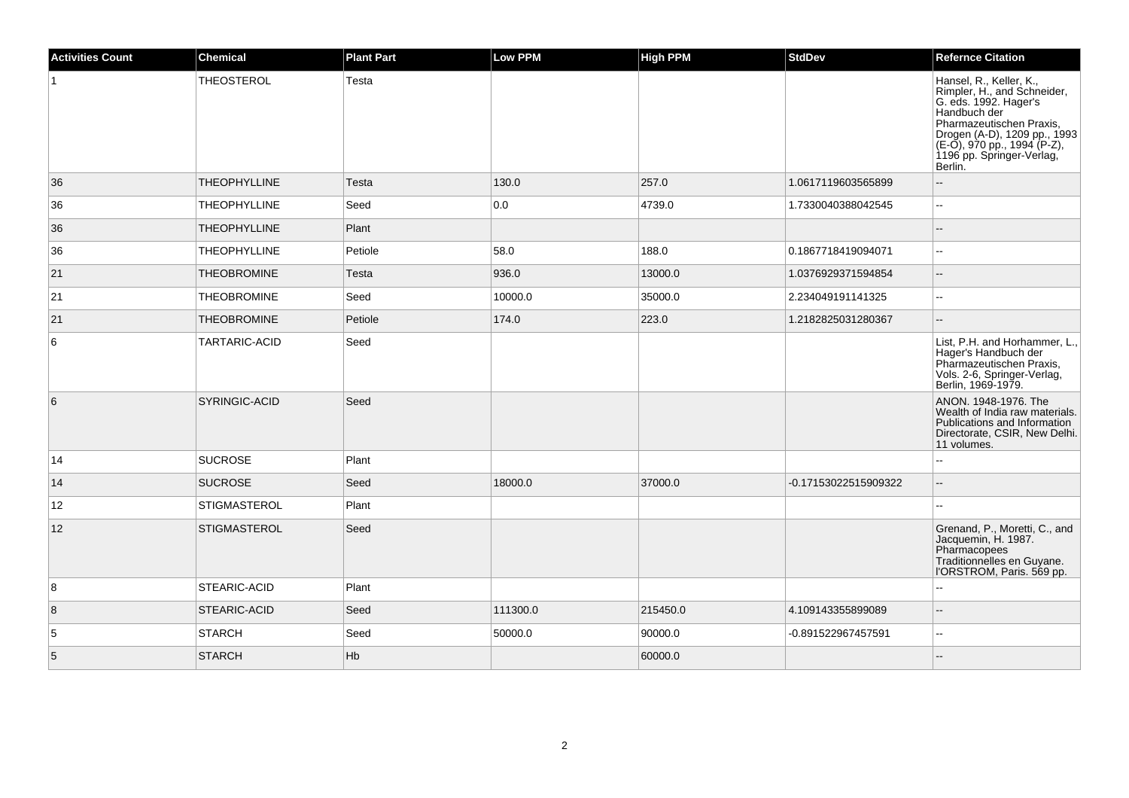| <b>Activities Count</b> | <b>Chemical</b>      | <b>Plant Part</b> | <b>Low PPM</b> | <b>High PPM</b> | <b>StdDev</b>        | <b>Refernce Citation</b>                                                                                                                                                                                           |
|-------------------------|----------------------|-------------------|----------------|-----------------|----------------------|--------------------------------------------------------------------------------------------------------------------------------------------------------------------------------------------------------------------|
|                         | <b>THEOSTEROL</b>    | Testa             |                |                 |                      | Hansel, R., Keller, K.,<br>Rimpler, H., and Schneider,<br>G. eds. 1992. Hager's<br>Pharmazeutischen Praxis,<br>Drogen (A-D), 1209 pp., 1993<br>(E-O), 970 pp., 1994 (P-Z),<br>1196 pp. Springer-Verlag,<br>Berlin. |
| 36                      | <b>THEOPHYLLINE</b>  | Testa             | 130.0          | 257.0           | 1.0617119603565899   |                                                                                                                                                                                                                    |
| 36                      | <b>THEOPHYLLINE</b>  | Seed              | 0.0            | 4739.0          | 1.7330040388042545   | ä.                                                                                                                                                                                                                 |
| 36                      | <b>THEOPHYLLINE</b>  | Plant             |                |                 |                      | $\sim$                                                                                                                                                                                                             |
| 36                      | <b>THEOPHYLLINE</b>  | Petiole           | 58.0           | 188.0           | 0.1867718419094071   | $\overline{a}$                                                                                                                                                                                                     |
| 21                      | <b>THEOBROMINE</b>   | Testa             | 936.0          | 13000.0         | 1.0376929371594854   | $\overline{a}$                                                                                                                                                                                                     |
| 21                      | <b>THEOBROMINE</b>   | Seed              | 10000.0        | 35000.0         | 2.234049191141325    | $\overline{a}$                                                                                                                                                                                                     |
| 21                      | <b>THEOBROMINE</b>   | Petiole           | 174.0          | 223.0           | 1.2182825031280367   |                                                                                                                                                                                                                    |
| 6                       | TARTARIC-ACID        | Seed              |                |                 |                      | List, P.H. and Horhammer, L.,<br>Hager's Handbuch der<br>Pharmazeutischen Praxis,<br>Vols. 2-6, Springer-Verlag,<br>Berlin, 1969-1979.                                                                             |
| 6                       | <b>SYRINGIC-ACID</b> | Seed              |                |                 |                      | ANON. 1948-1976. The<br>Wealth of India raw materials.<br>Publications and Information<br>Directorate, CSIR, New Delhi.<br>11 volumes.                                                                             |
| 14                      | <b>SUCROSE</b>       | Plant             |                |                 |                      |                                                                                                                                                                                                                    |
| 14                      | <b>SUCROSE</b>       | Seed              | 18000.0        | 37000.0         | -0.17153022515909322 | $\overline{\phantom{a}}$                                                                                                                                                                                           |
| 12                      | <b>STIGMASTEROL</b>  | Plant             |                |                 |                      |                                                                                                                                                                                                                    |
| 12                      | STIGMASTEROL         | Seed              |                |                 |                      | Grenand, P., Moretti, C., and<br>Jacquemin, H. 1987.<br>Pharmacopees<br>Traditionnelles en Guyane.<br> 'ORSTROM, Paris. 569 pp.                                                                                    |
| 8                       | <b>STEARIC-ACID</b>  | Plant             |                |                 |                      | $-$                                                                                                                                                                                                                |
| $\vert 8$               | <b>STEARIC-ACID</b>  | Seed              | 111300.0       | 215450.0        | 4.109143355899089    |                                                                                                                                                                                                                    |
| 5                       | STARCH               | Seed              | 50000.0        | 90000.0         | -0.891522967457591   | $\overline{a}$                                                                                                                                                                                                     |
| $\sqrt{5}$              | <b>STARCH</b>        | Hb                |                | 60000.0         |                      |                                                                                                                                                                                                                    |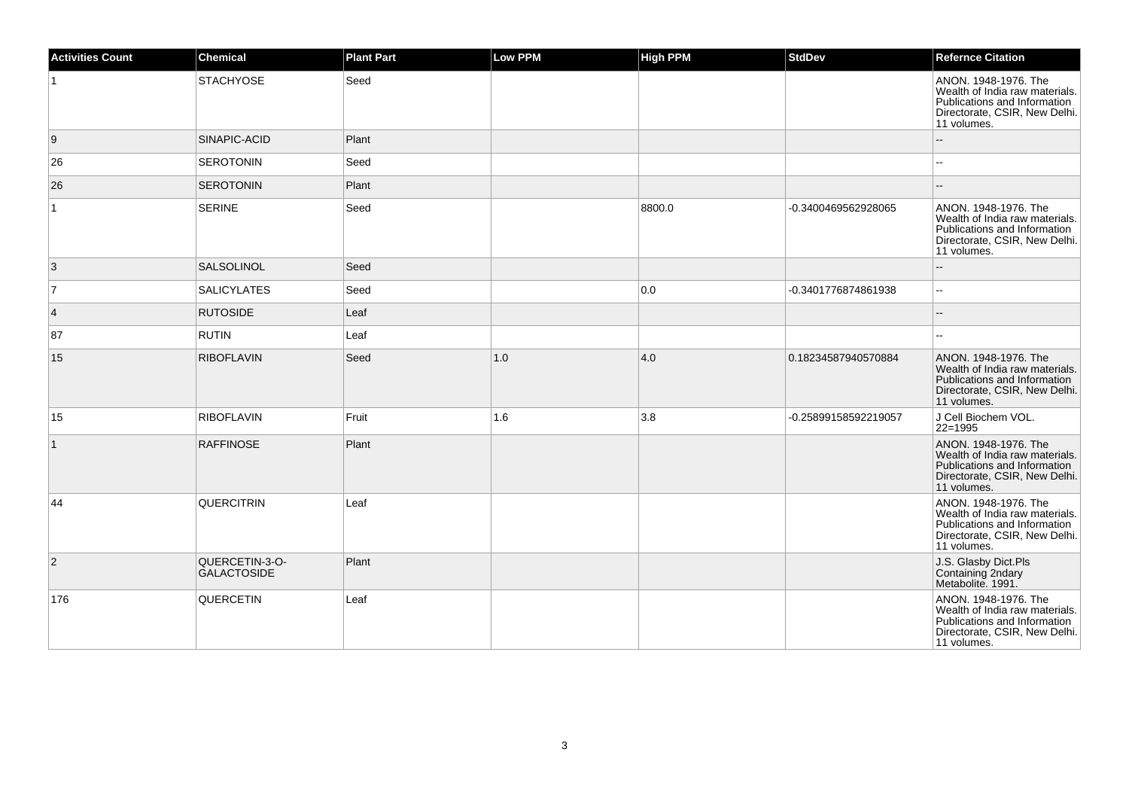| <b>Activities Count</b> | Chemical                             | <b>Plant Part</b> | <b>Low PPM</b> | <b>High PPM</b> | <b>StdDev</b>        | <b>Refernce Citation</b>                                                                                                               |
|-------------------------|--------------------------------------|-------------------|----------------|-----------------|----------------------|----------------------------------------------------------------------------------------------------------------------------------------|
|                         | <b>STACHYOSE</b>                     | Seed              |                |                 |                      | ANON. 1948-1976. The<br>Wealth of India raw materials.<br>Publications and Information<br>Directorate, CSIR, New Delhi.<br>11 volumes. |
| 9                       | SINAPIC-ACID                         | Plant             |                |                 |                      |                                                                                                                                        |
| 26                      | <b>SEROTONIN</b>                     | Seed              |                |                 |                      | --                                                                                                                                     |
| 26                      | <b>SEROTONIN</b>                     | Plant             |                |                 |                      |                                                                                                                                        |
| $\mathbf{1}$            | <b>SERINE</b>                        | Seed              |                | 8800.0          | -0.3400469562928065  | ANON. 1948-1976. The<br>Wealth of India raw materials.<br>Publications and Information<br>Directorate, CSIR, New Delhi.<br>11 volumes. |
| 3                       | SALSOLINOL                           | Seed              |                |                 |                      |                                                                                                                                        |
| 7                       | <b>SALICYLATES</b>                   | Seed              |                | 0.0             | -0.3401776874861938  | -−                                                                                                                                     |
| $\vert$ 4               | <b>RUTOSIDE</b>                      | Leaf              |                |                 |                      |                                                                                                                                        |
| 87                      | <b>RUTIN</b>                         | Leaf              |                |                 |                      |                                                                                                                                        |
| 15                      | <b>RIBOFLAVIN</b>                    | Seed              | 1.0            | 4.0             | 0.18234587940570884  | ANON. 1948-1976. The<br>Wealth of India raw materials.<br>Publications and Information<br>Directorate, CSIR, New Delhi.<br>11 volumes. |
| 15                      | <b>RIBOFLAVIN</b>                    | Fruit             | 1.6            | 3.8             | -0.25899158592219057 | J Cell Biochem VOL.<br>$22=1995$                                                                                                       |
| $\vert$ 1               | <b>RAFFINOSE</b>                     | Plant             |                |                 |                      | ANON. 1948-1976. The<br>Wealth of India raw materials.<br>Publications and Information<br>Directorate, CSIR, New Delhi.<br>11 volumes. |
| 44                      | QUERCITRIN                           | Leaf              |                |                 |                      | ANON. 1948-1976. The<br>Wealth of India raw materials.<br>Publications and Information<br>Directorate, CSIR, New Delhi.<br>11 volumes. |
| $\overline{2}$          | QUERCETIN-3-O-<br><b>GALACTOSIDE</b> | Plant             |                |                 |                      | J.S. Glasby Dict.Pls<br>Containing 2ndary<br>Metabolite. 1991.                                                                         |
| 176                     | QUERCETIN                            | Leaf              |                |                 |                      | ANON. 1948-1976. The<br>Wealth of India raw materials.<br>Publications and Information<br>Directorate, CSIR, New Delhi.<br>11 volumes. |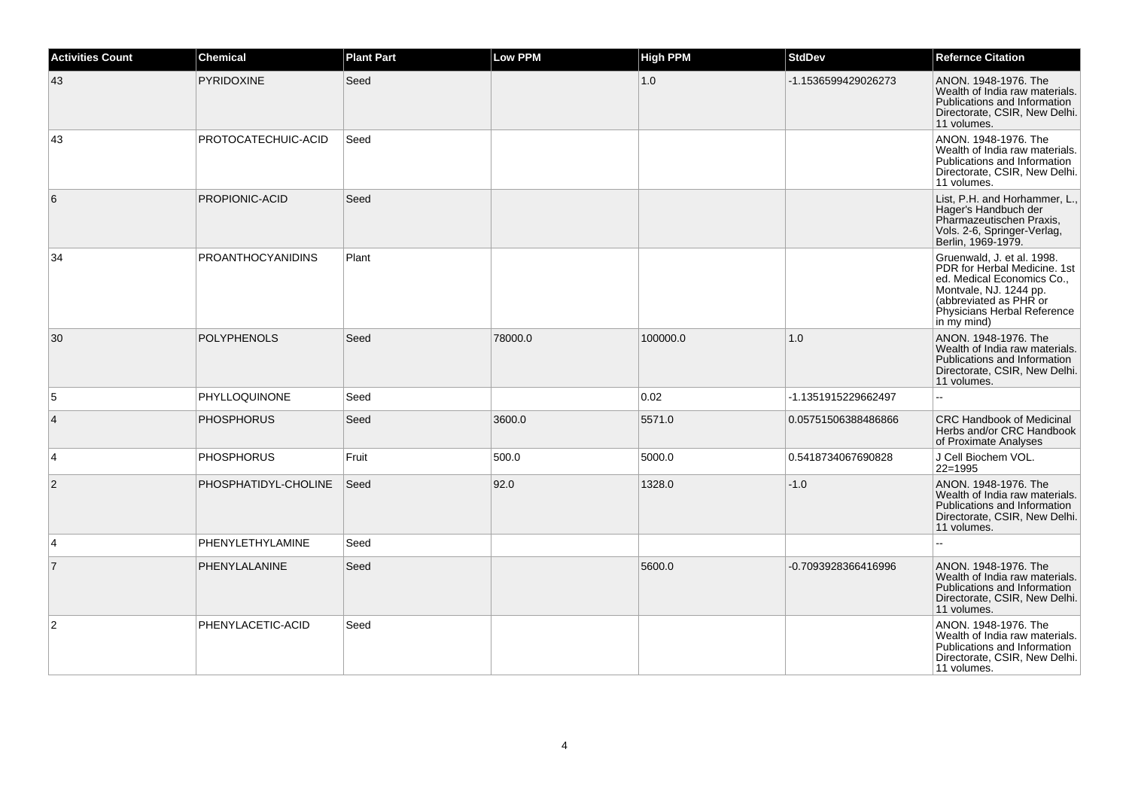| <b>Activities Count</b> | Chemical                 | <b>Plant Part</b> | <b>Low PPM</b> | <b>High PPM</b> | <b>StdDev</b>       | <b>Refernce Citation</b>                                                                                                                                                                   |
|-------------------------|--------------------------|-------------------|----------------|-----------------|---------------------|--------------------------------------------------------------------------------------------------------------------------------------------------------------------------------------------|
| 43                      | <b>PYRIDOXINE</b>        | Seed              |                | 1.0             | -1.1536599429026273 | ANON. 1948-1976. The<br>Wealth of India raw materials.<br>Publications and Information<br>Directorate, CSIR, New Delhi.<br>11 volumes.                                                     |
| 43                      | PROTOCATECHUIC-ACID      | Seed              |                |                 |                     | ANON. 1948-1976. The<br>Wealth of India raw materials.<br>Publications and Information<br>Directorate, CSIR, New Delhi.<br>11 volumes.                                                     |
| 6                       | PROPIONIC-ACID           | Seed              |                |                 |                     | List, P.H. and Horhammer, L.<br>Hager's Handbuch der<br>Pharmazeutischen Praxis,<br>Vols. 2-6, Springer-Verlag,<br>Berlin, 1969-1979.                                                      |
| 34                      | <b>PROANTHOCYANIDINS</b> | Plant             |                |                 |                     | Gruenwald, J. et al. 1998.<br>PDR for Herbal Medicine, 1st<br>ed. Medical Economics Co.,<br>Montvale, NJ. 1244 pp.<br>(abbreviated as PHR or<br>Physicians Herbal Reference<br>in my mind) |
| 30                      | <b>POLYPHENOLS</b>       | Seed              | 78000.0        | 100000.0        | 1.0                 | ANON. 1948-1976. The<br>Wealth of India raw materials.<br>Publications and Information<br>Directorate, CSIR, New Delhi.<br>11 volumes.                                                     |
| 5                       | <b>PHYLLOQUINONE</b>     | Seed              |                | 0.02            | -1.1351915229662497 | 44                                                                                                                                                                                         |
| $\overline{4}$          | <b>PHOSPHORUS</b>        | Seed              | 3600.0         | 5571.0          | 0.05751506388486866 | <b>CRC Handbook of Medicinal</b><br>Herbs and/or CRC Handbook<br>of Proximate Analyses                                                                                                     |
| $\overline{4}$          | <b>PHOSPHORUS</b>        | Fruit             | 500.0          | 5000.0          | 0.5418734067690828  | J Cell Biochem VOL.<br>22=1995                                                                                                                                                             |
| 2                       | PHOSPHATIDYL-CHOLINE     | Seed              | 92.0           | 1328.0          | $-1.0$              | ANON. 1948-1976. The<br>Wealth of India raw materials.<br>Publications and Information<br>Directorate, CSIR, New Delhi.<br>11 volumes.                                                     |
| 4                       | PHENYLETHYLAMINE         | Seed              |                |                 |                     | Щ,                                                                                                                                                                                         |
| $\overline{7}$          | PHENYLALANINE            | Seed              |                | 5600.0          | -0.7093928366416996 | ANON. 1948-1976. The<br>Wealth of India raw materials.<br>Publications and Information<br>Directorate, CSIR, New Delhi.<br>11 volumes.                                                     |
| 2                       | PHENYLACETIC-ACID        | Seed              |                |                 |                     | ANON, 1948-1976, The<br>Wealth of India raw materials.<br>Publications and Information<br>Directorate, CSIR, New Delhi.<br>11 volumes.                                                     |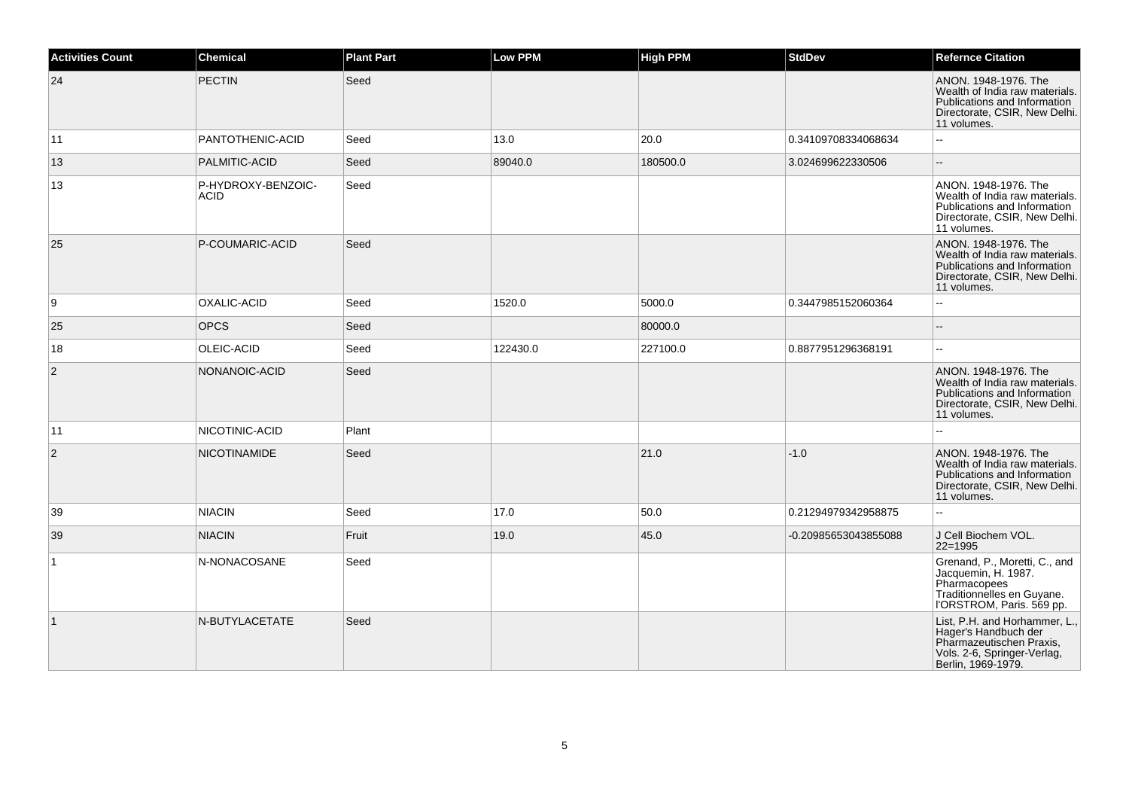| <b>Activities Count</b> | <b>Chemical</b>                   | <b>Plant Part</b> | <b>Low PPM</b> | <b>High PPM</b> | <b>StdDev</b>        | <b>Refernce Citation</b>                                                                                                               |
|-------------------------|-----------------------------------|-------------------|----------------|-----------------|----------------------|----------------------------------------------------------------------------------------------------------------------------------------|
| 24                      | <b>PECTIN</b>                     | Seed              |                |                 |                      | ANON. 1948-1976. The<br>Wealth of India raw materials.<br>Publications and Information<br>Directorate, CSIR, New Delhi.<br>11 volumes. |
| 11                      | PANTOTHENIC-ACID                  | Seed              | 13.0           | 20.0            | 0.34109708334068634  | Ξ.                                                                                                                                     |
| 13                      | PALMITIC-ACID                     | Seed              | 89040.0        | 180500.0        | 3.024699622330506    | $\overline{\phantom{a}}$                                                                                                               |
| 13                      | P-HYDROXY-BENZOIC-<br><b>ACID</b> | Seed              |                |                 |                      | ANON. 1948-1976. The<br>Wealth of India raw materials.<br>Publications and Information<br>Directorate, CSIR, New Delhi.<br>11 volumes. |
| 25                      | P-COUMARIC-ACID                   | Seed              |                |                 |                      | ANON. 1948-1976. The<br>Wealth of India raw materials.<br>Publications and Information<br>Directorate, CSIR, New Delhi.<br>11 volumes. |
| 9                       | OXALIC-ACID                       | Seed              | 1520.0         | 5000.0          | 0.3447985152060364   | $\overline{a}$                                                                                                                         |
| 25                      | <b>OPCS</b>                       | Seed              |                | 80000.0         |                      | $\qquad \qquad -$                                                                                                                      |
| 18                      | OLEIC-ACID                        | Seed              | 122430.0       | 227100.0        | 0.8877951296368191   | $\mathbf{u}$                                                                                                                           |
| $\overline{c}$          | NONANOIC-ACID                     | Seed              |                |                 |                      | ANON. 1948-1976. The<br>Wealth of India raw materials.<br>Publications and Information<br>Directorate, CSIR, New Delhi.<br>11 volumes. |
| 11                      | NICOTINIC-ACID                    | Plant             |                |                 |                      | Ξ.                                                                                                                                     |
| $\overline{2}$          | <b>NICOTINAMIDE</b>               | Seed              |                | 21.0            | $-1.0$               | ANON, 1948-1976. The<br>Wealth of India raw materials.<br>Publications and Information<br>Directorate, CSIR, New Delhi.<br>11 volumes. |
| 39                      | <b>NIACIN</b>                     | Seed              | 17.0           | 50.0            | 0.21294979342958875  | 44                                                                                                                                     |
| 39                      | <b>NIACIN</b>                     | Fruit             | 19.0           | 45.0            | -0.20985653043855088 | J Cell Biochem VOL.<br>22=1995                                                                                                         |
| $\mathbf{1}$            | N-NONACOSANE                      | Seed              |                |                 |                      | Grenand, P., Moretti, C., and<br>Jacquemin, H. 1987.<br>Pharmacopees<br>Traditionnelles en Guyane.<br>l'ORSTROM, Paris. 569 pp.        |
| $\vert$ 1               | N-BUTYLACETATE                    | Seed              |                |                 |                      | List, P.H. and Horhammer, L.,<br>Hager's Handbuch der<br>Pharmazeutischen Praxis,<br>Vols. 2-6, Springer-Verlag,<br>Berlin, 1969-1979. |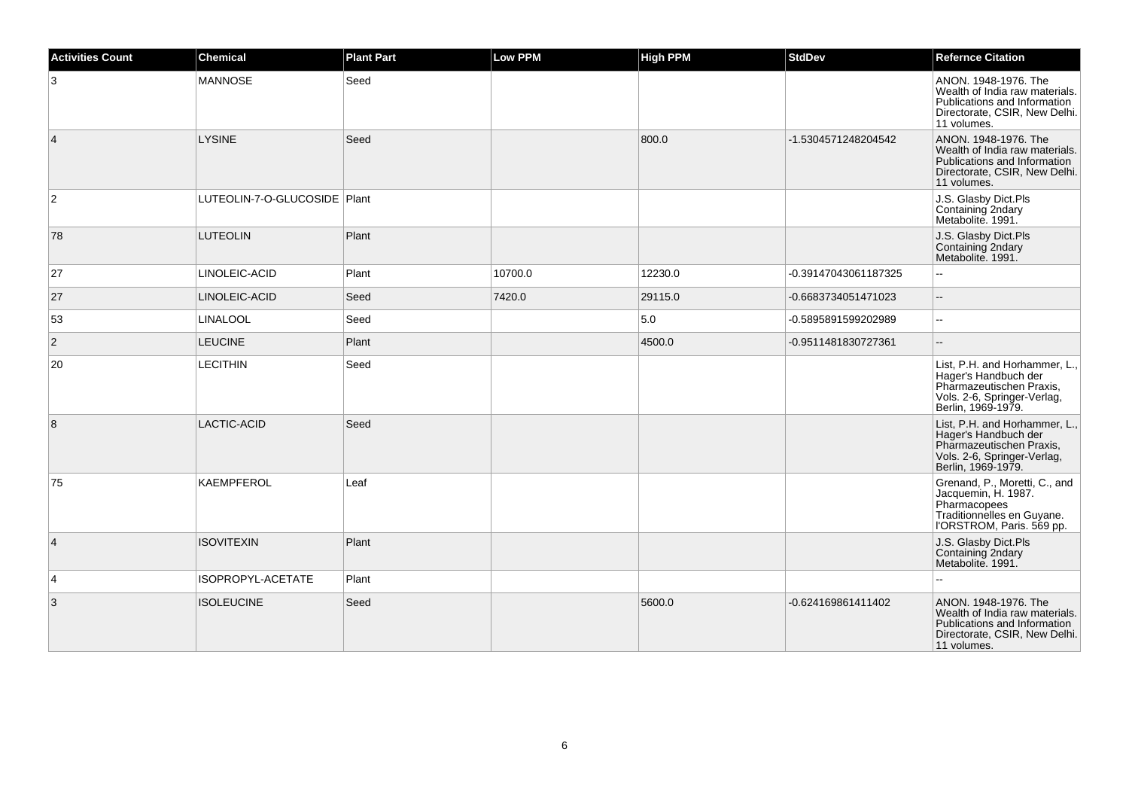| <b>Activities Count</b> | Chemical                       | <b>Plant Part</b> | <b>Low PPM</b> | <b>High PPM</b> | <b>StdDev</b>        | <b>Refernce Citation</b>                                                                                                               |
|-------------------------|--------------------------------|-------------------|----------------|-----------------|----------------------|----------------------------------------------------------------------------------------------------------------------------------------|
| 3                       | <b>MANNOSE</b>                 | Seed              |                |                 |                      | ANON. 1948-1976. The<br>Wealth of India raw materials.<br>Publications and Information<br>Directorate, CSIR, New Delhi.<br>11 volumes. |
| $\vert$ 4               | <b>LYSINE</b>                  | Seed              |                | 800.0           | -1.5304571248204542  | ANON. 1948-1976. The<br>Wealth of India raw materials.<br>Publications and Information<br>Directorate, CSIR, New Delhi.<br>11 volumes. |
| $\overline{2}$          | LUTEOLIN-7-O-GLUCOSIDE   Plant |                   |                |                 |                      | J.S. Glasby Dict.Pls<br>Containing 2ndary<br>Metabolite. 1991.                                                                         |
| 78                      | <b>LUTEOLIN</b>                | Plant             |                |                 |                      | J.S. Glasby Dict.Pls<br>Containing 2ndary<br>Metabolite. 1991.                                                                         |
| 27                      | LINOLEIC-ACID                  | Plant             | 10700.0        | 12230.0         | -0.39147043061187325 | $\mathbf{u}$                                                                                                                           |
| 27                      | LINOLEIC-ACID                  | Seed              | 7420.0         | 29115.0         | -0.6683734051471023  | $\overline{a}$                                                                                                                         |
| 53                      | <b>LINALOOL</b>                | Seed              |                | 5.0             | -0.5895891599202989  | $\overline{\phantom{a}}$                                                                                                               |
| 2                       | <b>LEUCINE</b>                 | Plant             |                | 4500.0          | -0.9511481830727361  |                                                                                                                                        |
| 20                      | <b>LECITHIN</b>                | Seed              |                |                 |                      | List, P.H. and Horhammer, L.,<br>Hager's Handbuch der<br>Pharmazeutischen Praxis,<br>Vols. 2-6, Springer-Verlag,<br>Berlin, 1969-1979. |
| 8                       | LACTIC-ACID                    | Seed              |                |                 |                      | List, P.H. and Horhammer, L.,<br>Hager's Handbuch der<br>Pharmazeutischen Praxis,<br>Vols. 2-6, Springer-Verlag,<br>Berlin, 1969-1979. |
| 75                      | <b>KAEMPFEROL</b>              | Leaf              |                |                 |                      | Grenand, P., Moretti, C., and<br>Jacquemin, H. 1987.<br>Pharmacopees<br>Traditionnelles en Guyane.<br>l'ORSTROM, Paris. 569 pp.        |
| $\overline{4}$          | <b>ISOVITEXIN</b>              | Plant             |                |                 |                      | J.S. Glasby Dict.Pls<br>Containing 2ndary<br>Metabolite. 1991.                                                                         |
| 4                       | ISOPROPYL-ACETATE              | Plant             |                |                 |                      | $\sim$                                                                                                                                 |
| 3                       | <b>ISOLEUCINE</b>              | Seed              |                | 5600.0          | -0.624169861411402   | ANON. 1948-1976. The<br>Wealth of India raw materials.<br>Publications and Information<br>Directorate, CSIR, New Delhi.<br>11 volumes. |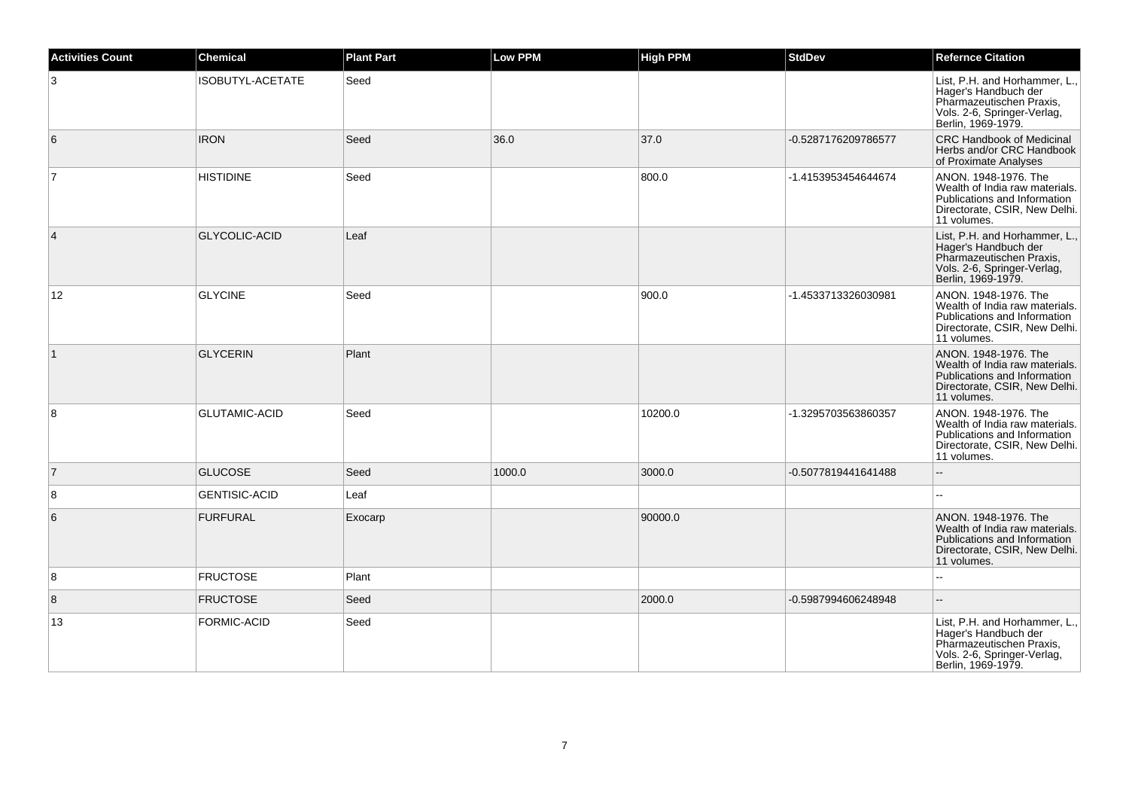| <b>Activities Count</b> | Chemical             | <b>Plant Part</b> | Low PPM | <b>High PPM</b> | <b>StdDev</b>       | <b>Refernce Citation</b>                                                                                                               |
|-------------------------|----------------------|-------------------|---------|-----------------|---------------------|----------------------------------------------------------------------------------------------------------------------------------------|
| 3                       | ISOBUTYL-ACETATE     | Seed              |         |                 |                     | List, P.H. and Horhammer, L.<br>Hager's Handbuch der<br>Pharmazeutischen Praxis,<br>Vols. 2-6, Springer-Verlag,<br>Berlin, 1969-1979.  |
| 6                       | <b>IRON</b>          | Seed              | 36.0    | 37.0            | -0.5287176209786577 | <b>CRC Handbook of Medicinal</b><br>Herbs and/or CRC Handbook<br>of Proximate Analyses                                                 |
| $\overline{7}$          | <b>HISTIDINE</b>     | Seed              |         | 800.0           | -1.4153953454644674 | ANON, 1948-1976. The<br>Wealth of India raw materials.<br>Publications and Information<br>Directorate, CSIR, New Delhi.<br>11 volumes. |
| 4                       | <b>GLYCOLIC-ACID</b> | Leaf              |         |                 |                     | List, P.H. and Horhammer, L.,<br>Hager's Handbuch der<br>Pharmazeutischen Praxis,<br>Vols. 2-6, Springer-Verlag,<br>Berlin, 1969-1979. |
| 12                      | <b>GLYCINE</b>       | Seed              |         | 900.0           | -1.4533713326030981 | ANON. 1948-1976. The<br>Wealth of India raw materials.<br>Publications and Information<br>Directorate, CSIR, New Delhi.<br>11 volumes. |
| $\mathbf{1}$            | <b>GLYCERIN</b>      | Plant             |         |                 |                     | ANON. 1948-1976. The<br>Wealth of India raw materials.<br>Publications and Information<br>Directorate, CSIR, New Delhi.<br>11 volumes. |
| 8                       | <b>GLUTAMIC-ACID</b> | Seed              |         | 10200.0         | -1.3295703563860357 | ANON, 1948-1976. The<br>Wealth of India raw materials.<br>Publications and Information<br>Directorate, CSIR, New Delhi.<br>11 volumes. |
| $\overline{7}$          | <b>GLUCOSE</b>       | Seed              | 1000.0  | 3000.0          | -0.5077819441641488 |                                                                                                                                        |
| 8                       | <b>GENTISIC-ACID</b> | Leaf              |         |                 |                     | $\sim$                                                                                                                                 |
| 6                       | <b>FURFURAL</b>      | Exocarp           |         | 90000.0         |                     | ANON. 1948-1976. The<br>Wealth of India raw materials.<br>Publications and Information<br>Directorate, CSIR, New Delhi.<br>11 volumes. |
| 8                       | <b>FRUCTOSE</b>      | Plant             |         |                 |                     |                                                                                                                                        |
| 8                       | <b>FRUCTOSE</b>      | Seed              |         | 2000.0          | -0.5987994606248948 | ÷.                                                                                                                                     |
| 13                      | FORMIC-ACID          | Seed              |         |                 |                     | List, P.H. and Horhammer, L.,<br>Hager's Handbuch der<br>Pharmazeutischen Praxis,<br>Vols. 2-6, Springer-Verlag,<br>Berlin, 1969-1979. |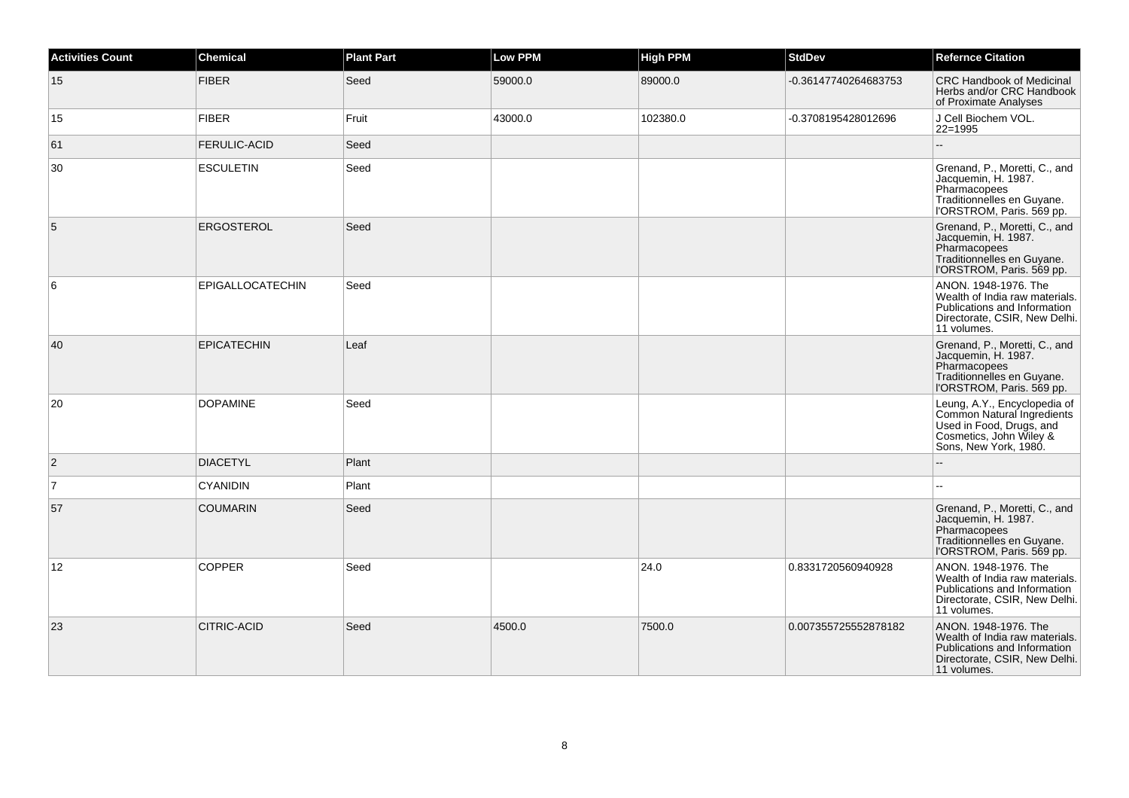| <b>Activities Count</b> | <b>Chemical</b>     | <b>Plant Part</b> | <b>Low PPM</b> | <b>High PPM</b> | <b>StdDev</b>        | <b>Refernce Citation</b>                                                                                                                   |
|-------------------------|---------------------|-------------------|----------------|-----------------|----------------------|--------------------------------------------------------------------------------------------------------------------------------------------|
| 15                      | <b>FIBER</b>        | Seed              | 59000.0        | 89000.0         | -0.36147740264683753 | CRC Handbook of Medicinal<br>Herbs and/or CRC Handbook<br>of Proximate Analyses                                                            |
| 15                      | <b>FIBER</b>        | Fruit             | 43000.0        | 102380.0        | -0.3708195428012696  | J Cell Biochem VOL.<br>22=1995                                                                                                             |
| 61                      | <b>FERULIC-ACID</b> | Seed              |                |                 |                      |                                                                                                                                            |
| 30                      | <b>ESCULETIN</b>    | Seed              |                |                 |                      | Grenand, P., Moretti, C., and<br>Jacquemin, H. 1987.<br>Pharmacopees<br>Traditionnelles en Guyane.<br>l'ORSTROM, Paris. 569 pp.            |
| 5                       | <b>ERGOSTEROL</b>   | Seed              |                |                 |                      | Grenand, P., Moretti, C., and<br>Jacquemin, H. 1987.<br>Pharmacopees<br>Traditionnelles en Guyane.<br>l'ORSTROM, Paris. 569 pp.            |
| 6                       | EPIGALLOCATECHIN    | Seed              |                |                 |                      | ANON. 1948-1976. The<br>Wealth of India raw materials.<br>Publications and Information<br>Directorate, CSIR, New Delhi.<br>11 volumes.     |
| 40                      | <b>EPICATECHIN</b>  | Leaf              |                |                 |                      | Grenand, P., Moretti, C., and<br>Jacquemin, H. 1987.<br>Pharmacopees<br>Traditionnelles en Guyane.<br>l'ORSTROM, Paris. 569 pp.            |
| 20                      | <b>DOPAMINE</b>     | Seed              |                |                 |                      | Leung, A.Y., Encyclopedia of<br>Common Natural Ingredients<br>Used in Food, Drugs, and<br>Cosmetics, John Wiley &<br>Sons, New York, 1980. |
| $\overline{2}$          | <b>DIACETYL</b>     | Plant             |                |                 |                      |                                                                                                                                            |
| $\overline{7}$          | <b>CYANIDIN</b>     | Plant             |                |                 |                      |                                                                                                                                            |
| 57                      | <b>COUMARIN</b>     | Seed              |                |                 |                      | Grenand, P., Moretti, C., and<br>Jacquemin, H. 1987.<br>Pharmacopees<br>Traditionnelles en Guyane.<br>l'ORSTROM, Paris. 569 pp.            |
| 12                      | <b>COPPER</b>       | Seed              |                | 24.0            | 0.8331720560940928   | ANON. 1948-1976. The<br>Wealth of India raw materials.<br>Publications and Information<br>Directorate, CSIR, New Delhi.<br>11 volumes.     |
| 23                      | <b>CITRIC-ACID</b>  | Seed              | 4500.0         | 7500.0          | 0.007355725552878182 | ANON, 1948-1976. The<br>Wealth of India raw materials.<br>Publications and Information<br>Directorate, CSIR, New Delhi.<br>11 volumes.     |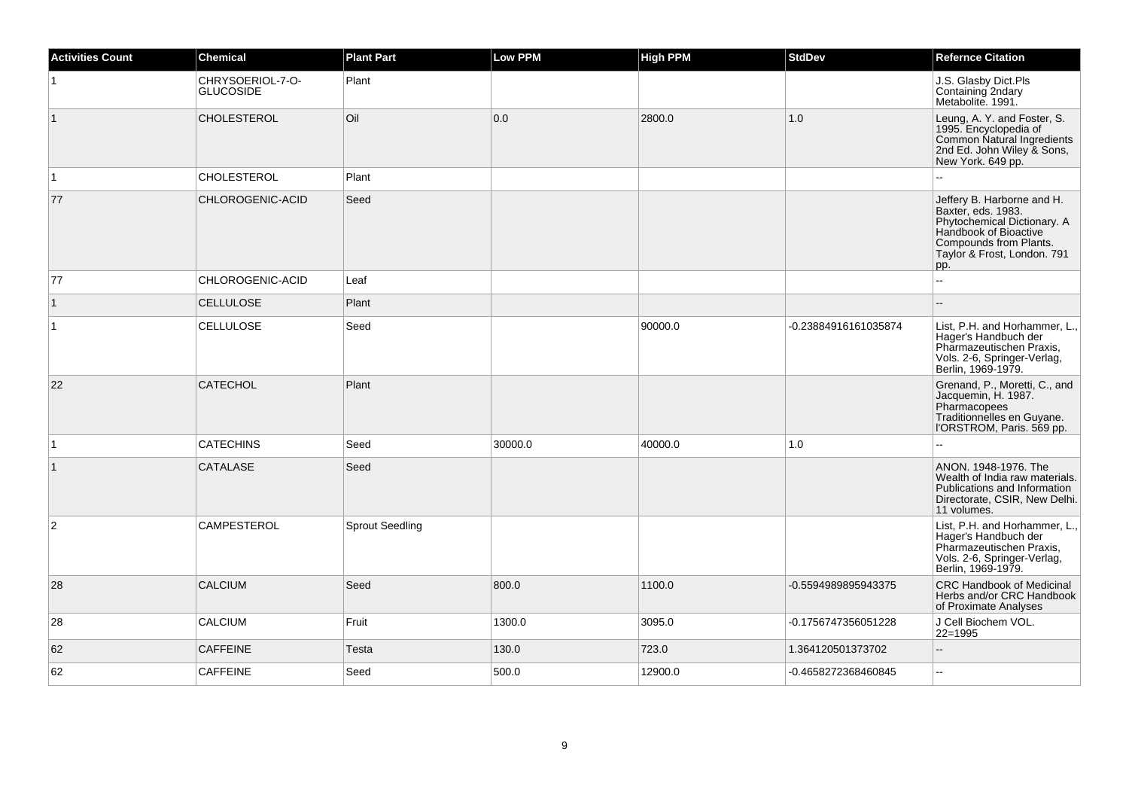| <b>Activities Count</b> | <b>Chemical</b>                      | <b>Plant Part</b>      | <b>Low PPM</b> | <b>High PPM</b> | <b>StdDev</b>        | <b>Refernce Citation</b>                                                                                                                                                 |
|-------------------------|--------------------------------------|------------------------|----------------|-----------------|----------------------|--------------------------------------------------------------------------------------------------------------------------------------------------------------------------|
| $\vert$ 1               | CHRYSOERIOL-7-O-<br><b>GLUCOSIDE</b> | Plant                  |                |                 |                      | J.S. Glasby Dict.Pls<br>Containing 2ndary<br>Metabolite. 1991.                                                                                                           |
| $\vert$ 1               | <b>CHOLESTEROL</b>                   | Oil                    | 0.0            | 2800.0          | 1.0                  | Leung, A. Y. and Foster, S.<br>1995. Encyclopedia of<br>Common Natural Ingredients<br>2nd Ed. John Wiley & Sons,<br>New York. 649 pp.                                    |
| $\vert$ 1               | <b>CHOLESTEROL</b>                   | Plant                  |                |                 |                      |                                                                                                                                                                          |
| 77                      | CHLOROGENIC-ACID                     | Seed                   |                |                 |                      | Jeffery B. Harborne and H.<br>Baxter, eds. 1983.<br>Phytochemical Dictionary. A<br>Handbook of Bioactive<br>Compounds from Plants.<br>Taylor & Frost, London. 791<br>pp. |
| 77                      | CHLOROGENIC-ACID                     | Leaf                   |                |                 |                      |                                                                                                                                                                          |
| $\vert$ 1               | <b>CELLULOSE</b>                     | Plant                  |                |                 |                      |                                                                                                                                                                          |
| $\vert$ 1               | <b>CELLULOSE</b>                     | Seed                   |                | 90000.0         | -0.23884916161035874 | List, P.H. and Horhammer, L.,<br>Hager's Handbuch der<br>Pharmazeutischen Praxis,<br>Vols. 2-6, Springer-Verlag,<br>Berlin, 1969-1979.                                   |
| 22                      | <b>CATECHOL</b>                      | Plant                  |                |                 |                      | Grenand, P., Moretti, C., and<br>Jacquemin, H. 1987.<br>Pharmacopees<br>Traditionnelles en Guyane.<br>l'ORSTROM, Paris. 569 pp.                                          |
| $\vert$ 1               | <b>CATECHINS</b>                     | Seed                   | 30000.0        | 40000.0         | 1.0                  |                                                                                                                                                                          |
| $\vert$ 1               | <b>CATALASE</b>                      | Seed                   |                |                 |                      | ANON. 1948-1976. The<br>Wealth of India raw materials.<br>Publications and Information<br>Directorate, CSIR, New Delhi.<br>11 volumes.                                   |
| 2                       | <b>CAMPESTEROL</b>                   | <b>Sprout Seedling</b> |                |                 |                      | List, P.H. and Horhammer, L.,<br>Hager's Handbuch der<br>Pharmazeutischen Praxis,<br>Vols. 2-6, Springer-Verlag,<br>Berlin, 1969-1979.                                   |
| 28                      | <b>CALCIUM</b>                       | Seed                   | 800.0          | 1100.0          | -0.5594989895943375  | <b>CRC Handbook of Medicinal</b><br>Herbs and/or CRC Handbook<br>of Proximate Analyses                                                                                   |
| 28                      | <b>CALCIUM</b>                       | Fruit                  | 1300.0         | 3095.0          | -0.1756747356051228  | J Cell Biochem VOL.<br>22=1995                                                                                                                                           |
| 62                      | <b>CAFFEINE</b>                      | Testa                  | 130.0          | 723.0           | 1.364120501373702    | ă.                                                                                                                                                                       |
| 62                      | <b>CAFFEINE</b>                      | Seed                   | 500.0          | 12900.0         | -0.4658272368460845  | $\mathbf{u}$                                                                                                                                                             |
|                         |                                      |                        |                |                 |                      |                                                                                                                                                                          |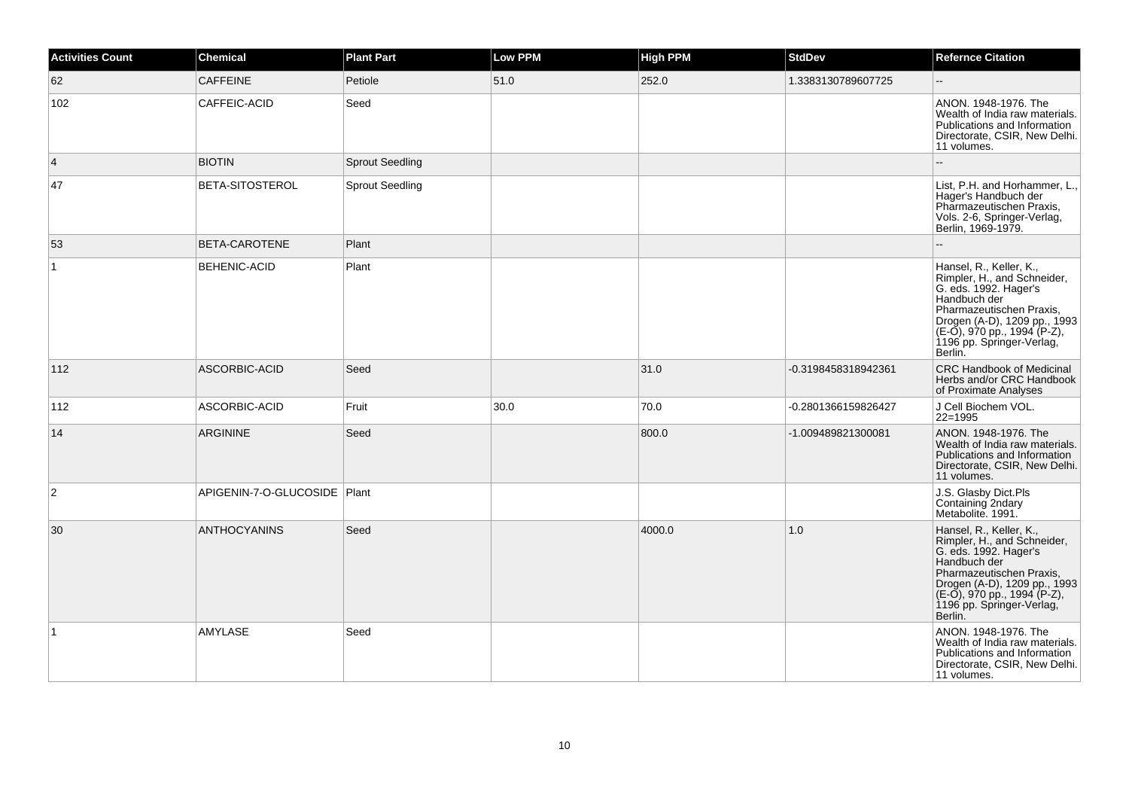| Activities Count | <b>Chemical</b>              | <b>Plant Part</b>      | <b>Low PPM</b> | <b>High PPM</b> | <b>StdDev</b>       | <b>Refernce Citation</b>                                                                                                                                                                                                           |
|------------------|------------------------------|------------------------|----------------|-----------------|---------------------|------------------------------------------------------------------------------------------------------------------------------------------------------------------------------------------------------------------------------------|
| 62               | <b>CAFFEINE</b>              | Petiole                | 51.0           | 252.0           | 1.3383130789607725  | Ξ.                                                                                                                                                                                                                                 |
| 102              | CAFFEIC-ACID                 | Seed                   |                |                 |                     | ANON. 1948-1976. The<br>Wealth of India raw materials.<br>Publications and Information<br>Directorate, CSIR, New Delhi.<br>11 volumes.                                                                                             |
| 4                | <b>BIOTIN</b>                | Sprout Seedling        |                |                 |                     |                                                                                                                                                                                                                                    |
| 47               | BETA-SITOSTEROL              | <b>Sprout Seedling</b> |                |                 |                     | List, P.H. and Horhammer, L.,<br>Hager's Handbuch der<br>Pharmazeutischen Praxis,<br>Vols. 2-6, Springer-Verlag,<br>Berlin, 1969-1979.                                                                                             |
| 53               | BETA-CAROTENE                | Plant                  |                |                 |                     |                                                                                                                                                                                                                                    |
| $\mathbf{1}$     | <b>BEHENIC-ACID</b>          | Plant                  |                |                 |                     | Hansel, R., Keller, K.,<br>Rimpler, H., and Schneider,<br>G. eds. 1992. Hager's<br>Handbuch der<br>Pharmazeutischen Praxis,<br>Drogen (A-D), 1209 pp., 1993<br>(E-O), 970 pp., 1994 (P-Z),<br>1196 pp. Springer-Verlag,<br>Berlin. |
| 112              | ASCORBIC-ACID                | Seed                   |                | 31.0            | -0.3198458318942361 | <b>CRC Handbook of Medicinal</b><br>Herbs and/or CRC Handbook<br>of Proximate Analyses                                                                                                                                             |
| 112              | ASCORBIC-ACID                | Fruit                  | 30.0           | 70.0            | -0.2801366159826427 | J Cell Biochem VOL.<br>$22 = 1995$                                                                                                                                                                                                 |
| 14               | ARGININE                     | Seed                   |                | 800.0           | -1.009489821300081  | ANON. 1948-1976. The<br>Wealth of India raw materials.<br>Publications and Information<br>Directorate, CSIR, New Delhi.<br>11 volumes.                                                                                             |
| $\overline{2}$   | APIGENIN-7-O-GLUCOSIDE Plant |                        |                |                 |                     | J.S. Glasby Dict.Pls<br>Containing 2ndary<br>Metabolite. 1991.                                                                                                                                                                     |
| 30               | <b>ANTHOCYANINS</b>          | Seed                   |                | 4000.0          | 1.0                 | Hansel, R., Keller, K.,<br>Rimpler, H., and Schneider,<br>G. eds. 1992. Hager's<br>Handbuch der<br>Pharmazeutischen Praxis,<br>Drogen (A-D), 1209 pp., 1993<br>(E-O), 970 pp., 1994 (P-Z),<br>1196 pp. Springer-Verlag,<br>Berlin. |
| 1                | <b>AMYLASE</b>               | Seed                   |                |                 |                     | ANON. 1948-1976. The<br>Wealth of India raw materials.<br>Publications and Information<br>Directorate, CSIR, New Delhi.<br>11 volumes.                                                                                             |